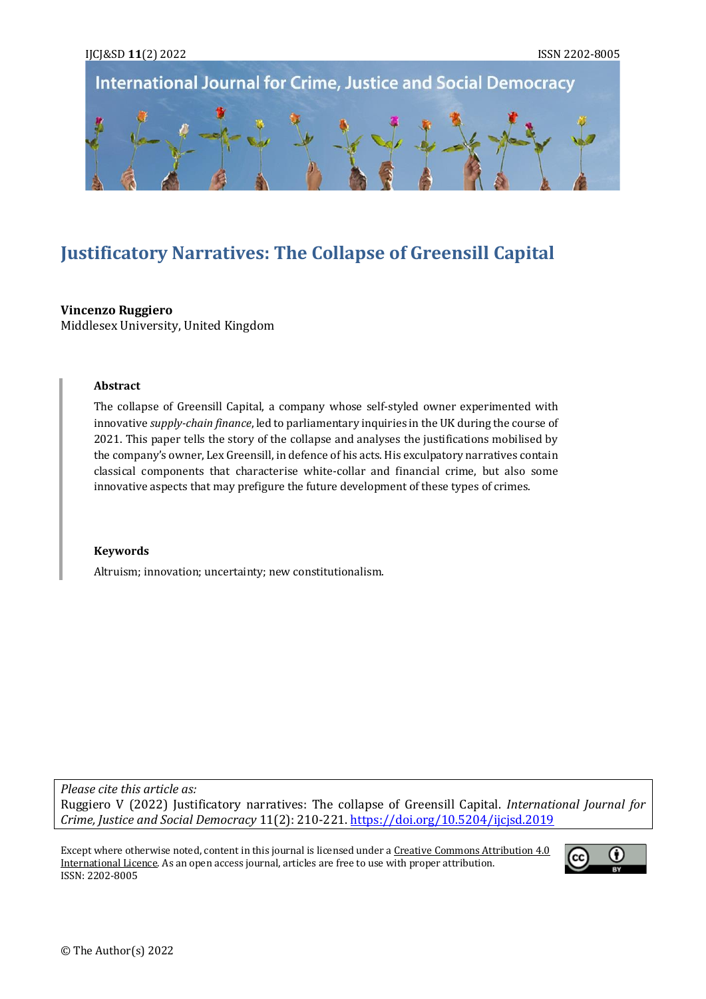

# **Justificatory Narratives: The Collapse of Greensill Capital**

## **Vincenzo Ruggiero**

Middlesex University, United Kingdom

#### **Abstract**

The collapse of Greensill Capital, a company whose self-styled owner experimented with innovative *supply-chain finance*, led to parliamentary inquiries in the UK during the course of 2021. This paper tells the story of the collapse and analyses the justifications mobilised by the company's owner, Lex Greensill, in defence of his acts. His exculpatory narratives contain classical components that characterise white-collar and financial crime, but also some innovative aspects that may prefigure the future development of these types of crimes.

#### **Keywords**

Altruism; innovation; uncertainty; new constitutionalism.

*Please cite this article as:* Ruggiero V (2022) Justificatory narratives: The collapse of Greensill Capital. *International Journal for Crime, Justice and Social Democracy* 11(2): 210-221[. https://doi.org/10.5204/ijcjsd.2019](https://doi.org/10.5204/ijcjsd.2019)

Except where otherwise noted, content in this journal is licensed under [a Creative Commons Attribution 4.0](https://creativecommons.org/licenses/by/4.0/)  [International Licence.](https://creativecommons.org/licenses/by/4.0/) As an open access journal, articles are free to use with proper attribution. ISSN: 2202-8005

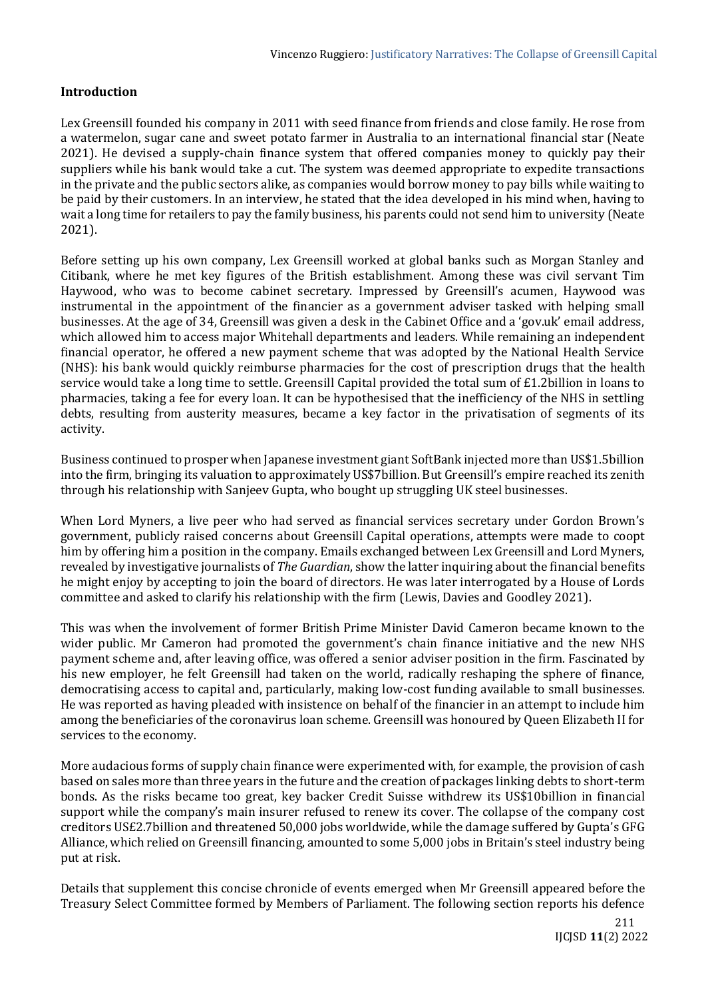## **Introduction**

Lex Greensill founded his company in 2011 with seed finance from friends and close family. He rose from a watermelon, sugar cane and sweet potato farmer in Australia to an international financial star (Neate 2021). He devised a supply-chain finance system that offered companies money to quickly pay their suppliers while his bank would take a cut. The system was deemed appropriate to expedite transactions in the private and the public sectors alike, as companies would borrow money to pay bills while waiting to be paid by their customers. In an interview, he stated that the idea developed in his mind when, having to wait a long time for retailers to pay the family business, his parents could not send him to university (Neate 2021).

Before setting up his own company, Lex Greensill worked at global banks such as Morgan Stanley and Citibank, where he met key figures of the British establishment. Among these was civil servant Tim Haywood, who was to become cabinet secretary. Impressed by Greensill's acumen, Haywood was instrumental in the appointment of the financier as a government adviser tasked with helping small businesses. At the age of 34, Greensill was given a desk in the Cabinet Office and a 'gov.uk' email address, which allowed him to access major Whitehall departments and leaders. While remaining an independent financial operator, he offered a new payment scheme that was adopted by the National Health Service (NHS): his bank would quickly reimburse pharmacies for the cost of prescription drugs that the health service would take a long time to settle. Greensill Capital provided the total sum of £1.2billion in loans to pharmacies, taking a fee for every loan. It can be hypothesised that the inefficiency of the NHS in settling debts, resulting from austerity measures, became a key factor in the privatisation of segments of its activity.

Business continued to prosper when Japanese investment giant SoftBank injected more than US\$1.5billion into the firm, bringing its valuation to approximately US\$7billion. But Greensill's empire reached its zenith through his relationship with Sanjeev Gupta, who bought up struggling UK steel businesses.

When Lord Myners, a live peer who had served as financial services secretary under Gordon Brown's government, publicly raised concerns about Greensill Capital operations, attempts were made to coopt him by offering him a position in the company. Emails exchanged between Lex Greensill and Lord Myners, revealed by investigative journalists of *The Guardian*, show the latter inquiring about the financial benefits he might enjoy by accepting to join the board of directors. He was later interrogated by a House of Lords committee and asked to clarify his relationship with the firm (Lewis, Davies and Goodley 2021).

This was when the involvement of former British Prime Minister David Cameron became known to the wider public. Mr Cameron had promoted the government's chain finance initiative and the new NHS payment scheme and, after leaving office, was offered a senior adviser position in the firm. Fascinated by his new employer, he felt Greensill had taken on the world, radically reshaping the sphere of finance, democratising access to capital and, particularly, making low-cost funding available to small businesses. He was reported as having pleaded with insistence on behalf of the financier in an attempt to include him among the beneficiaries of the coronavirus loan scheme. Greensill was honoured by Queen Elizabeth II for services to the economy.

More audacious forms of supply chain finance were experimented with, for example, the provision of cash based on sales more than three years in the future and the creation of packages linking debts to short-term bonds. As the risks became too great, key backer Credit Suisse withdrew its US\$10billion in financial support while the company's main insurer refused to renew its cover. The collapse of the company cost creditors US£2.7billion and threatened 50,000 jobs worldwide, while the damage suffered by Gupta's GFG Alliance, which relied on Greensill financing, amounted to some 5,000 jobs in Britain's steel industry being put at risk.

Details that supplement this concise chronicle of events emerged when Mr Greensill appeared before the Treasury Select Committee formed by Members of Parliament. The following section reports his defence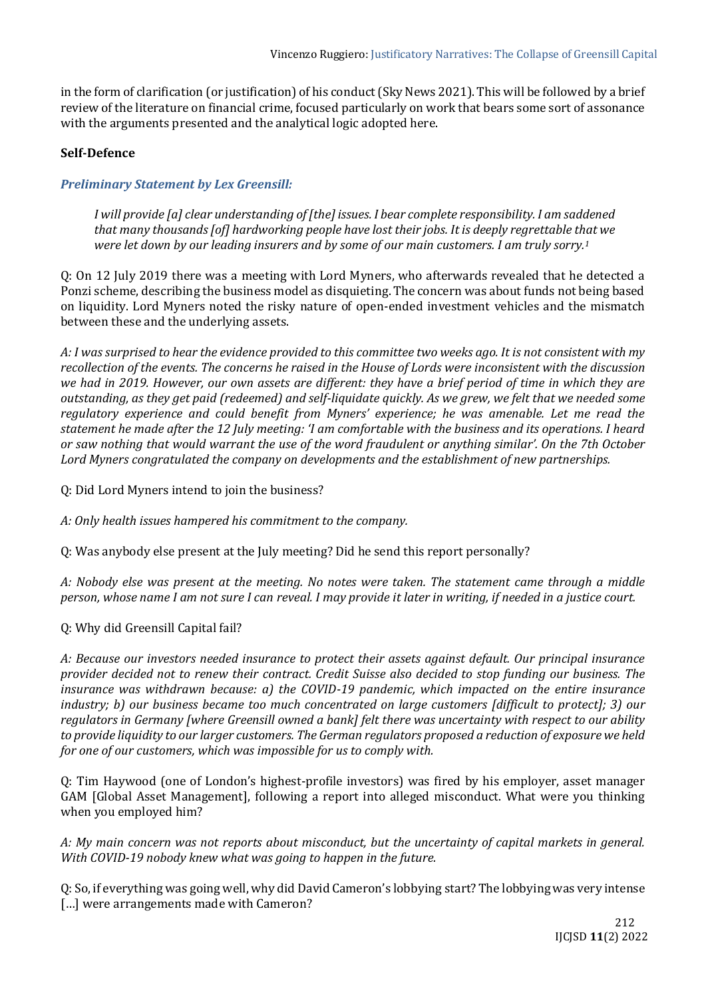in the form of clarification (or justification) of his conduct (Sky News 2021). This will be followed by a brief review of the literature on financial crime, focused particularly on work that bears some sort of assonance with the arguments presented and the analytical logic adopted here.

## **Self-Defence**

# *Preliminary Statement by Lex Greensill:*

*I will provide [a] clear understanding of [the] issues. I bear complete responsibility. I am saddened that many thousands [of] hardworking people have lost their jobs. It is deeply regrettable that we were let down by our leading insurers and by some of our main customers. I am truly sorry.<sup>1</sup>*

Q: On 12 July 2019 there was a meeting with Lord Myners, who afterwards revealed that he detected a Ponzi scheme, describing the business model as disquieting. The concern was about funds not being based on liquidity. Lord Myners noted the risky nature of open-ended investment vehicles and the mismatch between these and the underlying assets.

*A: I was surprised to hear the evidence provided to this committee two weeks ago. It is not consistent with my recollection of the events. The concerns he raised in the House of Lords were inconsistent with the discussion we had in 2019. However, our own assets are different: they have a brief period of time in which they are outstanding, as they get paid (redeemed) and self-liquidate quickly. As we grew, we felt that we needed some regulatory experience and could benefit from Myners' experience; he was amenable. Let me read the statement he made after the 12 July meeting: 'I am comfortable with the business and its operations. I heard or saw nothing that would warrant the use of the word fraudulent or anything similar'. On the 7th October Lord Myners congratulated the company on developments and the establishment of new partnerships.*

Q: Did Lord Myners intend to join the business?

*A: Only health issues hampered his commitment to the company.*

Q: Was anybody else present at the July meeting? Did he send this report personally?

*A: Nobody else was present at the meeting. No notes were taken. The statement came through a middle person, whose name I am not sure I can reveal. I may provide it later in writing, if needed in a justice court.*

## Q: Why did Greensill Capital fail?

*A: Because our investors needed insurance to protect their assets against default. Our principal insurance provider decided not to renew their contract. Credit Suisse also decided to stop funding our business. The insurance was withdrawn because: a) the COVID-19 pandemic, which impacted on the entire insurance industry; b) our business became too much concentrated on large customers [difficult to protect]; 3) our regulators in Germany [where Greensill owned a bank] felt there was uncertainty with respect to our ability to provide liquidity to our larger customers. The German regulators proposed a reduction of exposure we held for one of our customers, which was impossible for us to comply with.*

Q: Tim Haywood (one of London's highest-profile investors) was fired by his employer, asset manager GAM [Global Asset Management], following a report into alleged misconduct. What were you thinking when you employed him?

*A: My main concern was not reports about misconduct, but the uncertainty of capital markets in general. With COVID-19 nobody knew what was going to happen in the future.*

Q: So, if everything was going well, why did David Cameron's lobbying start? The lobbying was very intense [...] were arrangements made with Cameron?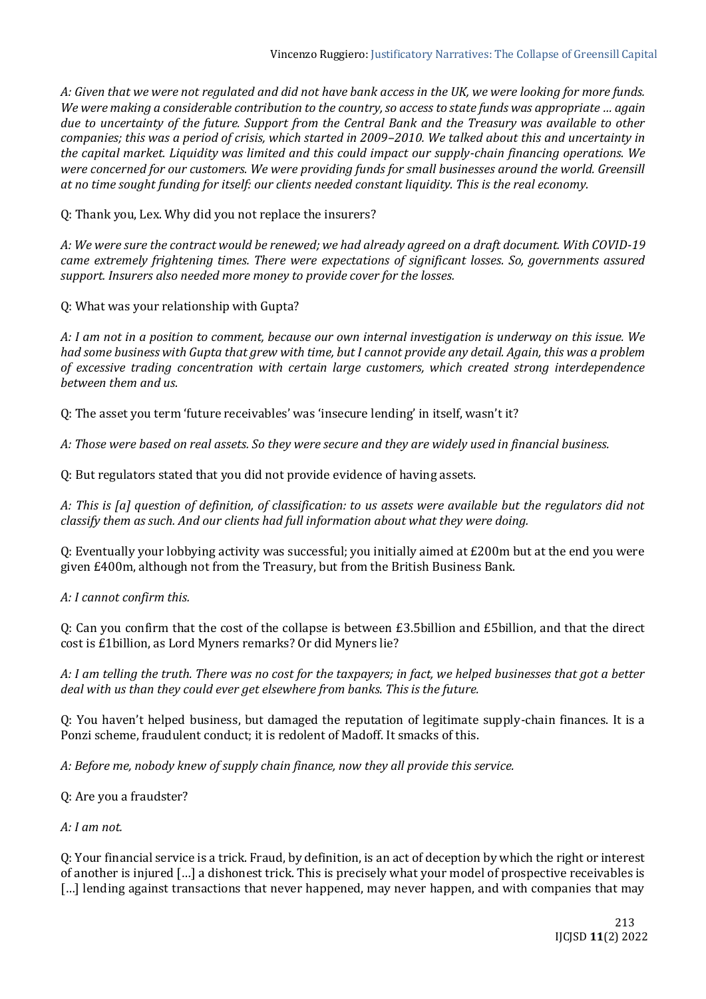*A: Given that we were not regulated and did not have bank access in the UK, we were looking for more funds. We were making a considerable contribution to the country, so access to state funds was appropriate … again due to uncertainty of the future. Support from the Central Bank and the Treasury was available to other companies; this was a period of crisis, which started in 2009–2010. We talked about this and uncertainty in the capital market. Liquidity was limited and this could impact our supply-chain financing operations. We were concerned for our customers. We were providing funds for small businesses around the world. Greensill at no time sought funding for itself: our clients needed constant liquidity. This is the real economy.*

Q: Thank you, Lex. Why did you not replace the insurers?

*A: We were sure the contract would be renewed; we had already agreed on a draft document. With COVID-19 came extremely frightening times. There were expectations of significant losses. So, governments assured support. Insurers also needed more money to provide cover for the losses.*

Q: What was your relationship with Gupta?

*A: I am not in a position to comment, because our own internal investigation is underway on this issue. We had some business with Gupta that grew with time, but I cannot provide any detail. Again, this was a problem of excessive trading concentration with certain large customers, which created strong interdependence between them and us.*

Q: The asset you term 'future receivables' was 'insecure lending' in itself, wasn't it?

*A: Those were based on real assets. So they were secure and they are widely used in financial business.*

Q: But regulators stated that you did not provide evidence of having assets.

*A: This is [a] question of definition, of classification: to us assets were available but the regulators did not classify them as such. And our clients had full information about what they were doing.*

Q: Eventually your lobbying activity was successful; you initially aimed at £200m but at the end you were given £400m, although not from the Treasury, but from the British Business Bank.

*A: I cannot confirm this.*

Q: Can you confirm that the cost of the collapse is between £3.5billion and £5billion, and that the direct cost is £1billion, as Lord Myners remarks? Or did Myners lie?

*A: I am telling the truth. There was no cost for the taxpayers; in fact, we helped businesses that got a better deal with us than they could ever get elsewhere from banks. This is the future.*

Q: You haven't helped business, but damaged the reputation of legitimate supply-chain finances. It is a Ponzi scheme, fraudulent conduct; it is redolent of Madoff. It smacks of this.

*A: Before me, nobody knew of supply chain finance, now they all provide this service.*

Q: Are you a fraudster?

*A: I am not.*

Q: Your financial service is a trick. Fraud, by definition, is an act of deception by which the right or interest of another is injured […] a dishonest trick. This is precisely what your model of prospective receivables is [...] lending against transactions that never happened, may never happen, and with companies that may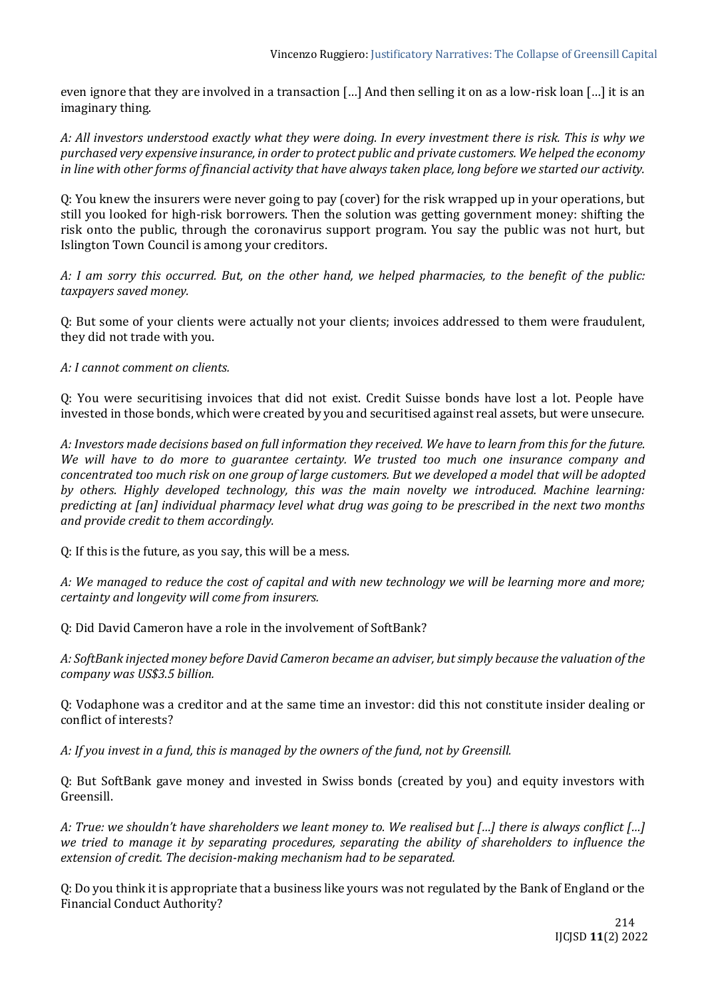even ignore that they are involved in a transaction […] And then selling it on as a low-risk loan […] it is an imaginary thing.

*A: All investors understood exactly what they were doing. In every investment there is risk. This is why we purchased very expensive insurance, in order to protect public and private customers. We helped the economy in line with other forms of financial activity that have always taken place, long before we started our activity.*

Q: You knew the insurers were never going to pay (cover) for the risk wrapped up in your operations, but still you looked for high-risk borrowers. Then the solution was getting government money: shifting the risk onto the public, through the coronavirus support program. You say the public was not hurt, but Islington Town Council is among your creditors.

*A: I am sorry this occurred. But, on the other hand, we helped pharmacies, to the benefit of the public: taxpayers saved money.*

Q: But some of your clients were actually not your clients; invoices addressed to them were fraudulent, they did not trade with you.

*A: I cannot comment on clients.*

Q: You were securitising invoices that did not exist. Credit Suisse bonds have lost a lot. People have invested in those bonds, which were created by you and securitised against real assets, but were unsecure.

*A: Investors made decisions based on full information they received. We have to learn from this for the future. We will have to do more to guarantee certainty. We trusted too much one insurance company and concentrated too much risk on one group of large customers. But we developed a model that will be adopted by others. Highly developed technology, this was the main novelty we introduced. Machine learning: predicting at [an] individual pharmacy level what drug was going to be prescribed in the next two months and provide credit to them accordingly.*

Q: If this is the future, as you say, this will be a mess.

*A: We managed to reduce the cost of capital and with new technology we will be learning more and more; certainty and longevity will come from insurers.*

Q: Did David Cameron have a role in the involvement of SoftBank?

*A: SoftBank injected money before David Cameron became an adviser, but simply because the valuation of the company was US\$3.5 billion.*

Q: Vodaphone was a creditor and at the same time an investor: did this not constitute insider dealing or conflict of interests?

*A: If you invest in a fund, this is managed by the owners of the fund, not by Greensill.*

Q: But SoftBank gave money and invested in Swiss bonds (created by you) and equity investors with Greensill.

*A: True: we shouldn't have shareholders we leant money to. We realised but […] there is always conflict […] we tried to manage it by separating procedures, separating the ability of shareholders to influence the extension of credit. The decision-making mechanism had to be separated.*

Q: Do you think it is appropriate that a business like yours was not regulated by the Bank of England or the Financial Conduct Authority?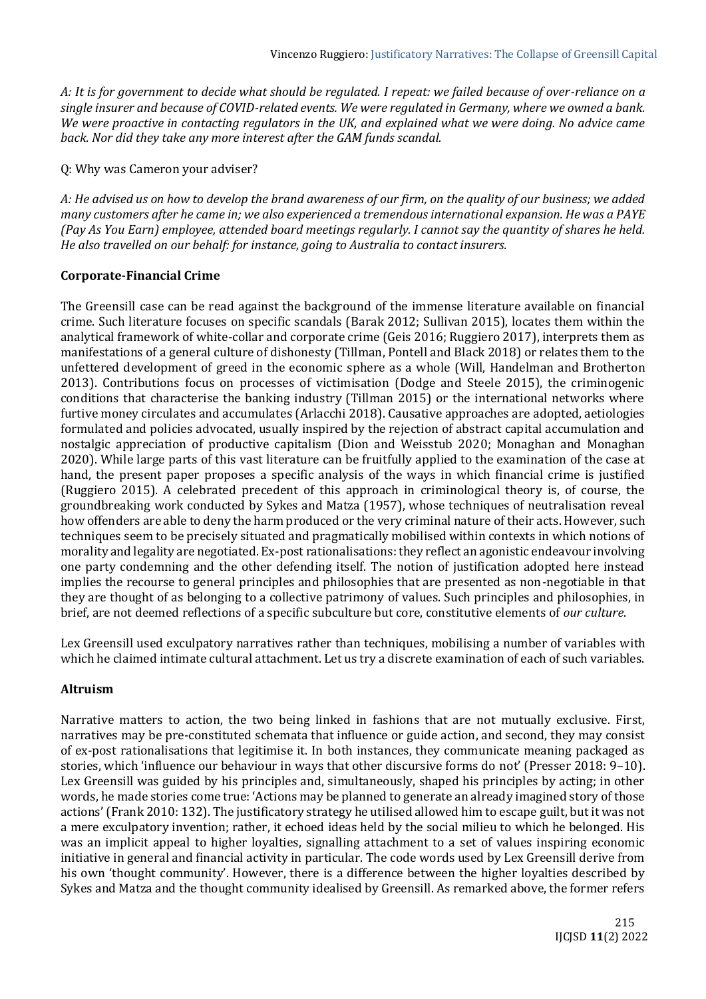*A: It is for government to decide what should be regulated. I repeat: we failed because of over-reliance on a single insurer and because of COVID-related events. We were regulated in Germany, where we owned a bank. We were proactive in contacting regulators in the UK, and explained what we were doing. No advice came back. Nor did they take any more interest after the GAM funds scandal.*

Q: Why was Cameron your adviser?

*A: He advised us on how to develop the brand awareness of our firm, on the quality of our business; we added many customers after he came in; we also experienced a tremendous international expansion. He was a PAYE (Pay As You Earn) employee, attended board meetings regularly. I cannot say the quantity of shares he held. He also travelled on our behalf: for instance, going to Australia to contact insurers.*

#### **Corporate-Financial Crime**

The Greensill case can be read against the background of the immense literature available on financial crime. Such literature focuses on specific scandals (Barak 2012; Sullivan 2015), locates them within the analytical framework of white-collar and corporate crime (Geis 2016; Ruggiero 2017), interprets them as manifestations of a general culture of dishonesty (Tillman, Pontell and Black 2018) or relates them to the unfettered development of greed in the economic sphere as a whole (Will, Handelman and Brotherton 2013). Contributions focus on processes of victimisation (Dodge and Steele 2015), the criminogenic conditions that characterise the banking industry (Tillman 2015) or the international networks where furtive money circulates and accumulates (Arlacchi 2018). Causative approaches are adopted, aetiologies formulated and policies advocated, usually inspired by the rejection of abstract capital accumulation and nostalgic appreciation of productive capitalism (Dion and Weisstub 2020; Monaghan and Monaghan 2020). While large parts of this vast literature can be fruitfully applied to the examination of the case at hand, the present paper proposes a specific analysis of the ways in which financial crime is justified (Ruggiero 2015). A celebrated precedent of this approach in criminological theory is, of course, the groundbreaking work conducted by Sykes and Matza (1957), whose techniques of neutralisation reveal how offenders are able to deny the harm produced or the very criminal nature of their acts. However, such techniques seem to be precisely situated and pragmatically mobilised within contexts in which notions of morality and legality are negotiated. Ex-post rationalisations: they reflect an agonistic endeavour involving one party condemning and the other defending itself. The notion of justification adopted here instead implies the recourse to general principles and philosophies that are presented as non-negotiable in that they are thought of as belonging to a collective patrimony of values. Such principles and philosophies, in brief, are not deemed reflections of a specific subculture but core, constitutive elements of *our culture*.

Lex Greensill used exculpatory narratives rather than techniques, mobilising a number of variables with which he claimed intimate cultural attachment. Let us try a discrete examination of each of such variables.

#### **Altruism**

Narrative matters to action, the two being linked in fashions that are not mutually exclusive. First, narratives may be pre-constituted schemata that influence or guide action, and second, they may consist of ex-post rationalisations that legitimise it. In both instances, they communicate meaning packaged as stories, which 'influence our behaviour in ways that other discursive forms do not' (Presser 2018: 9–10). Lex Greensill was guided by his principles and, simultaneously, shaped his principles by acting; in other words, he made stories come true: 'Actions may be planned to generate an already imagined story of those actions' (Frank 2010: 132). The justificatory strategy he utilised allowed him to escape guilt, but it was not a mere exculpatory invention; rather, it echoed ideas held by the social milieu to which he belonged. His was an implicit appeal to higher loyalties, signalling attachment to a set of values inspiring economic initiative in general and financial activity in particular. The code words used by Lex Greensill derive from his own 'thought community'. However, there is a difference between the higher loyalties described by Sykes and Matza and the thought community idealised by Greensill. As remarked above, the former refers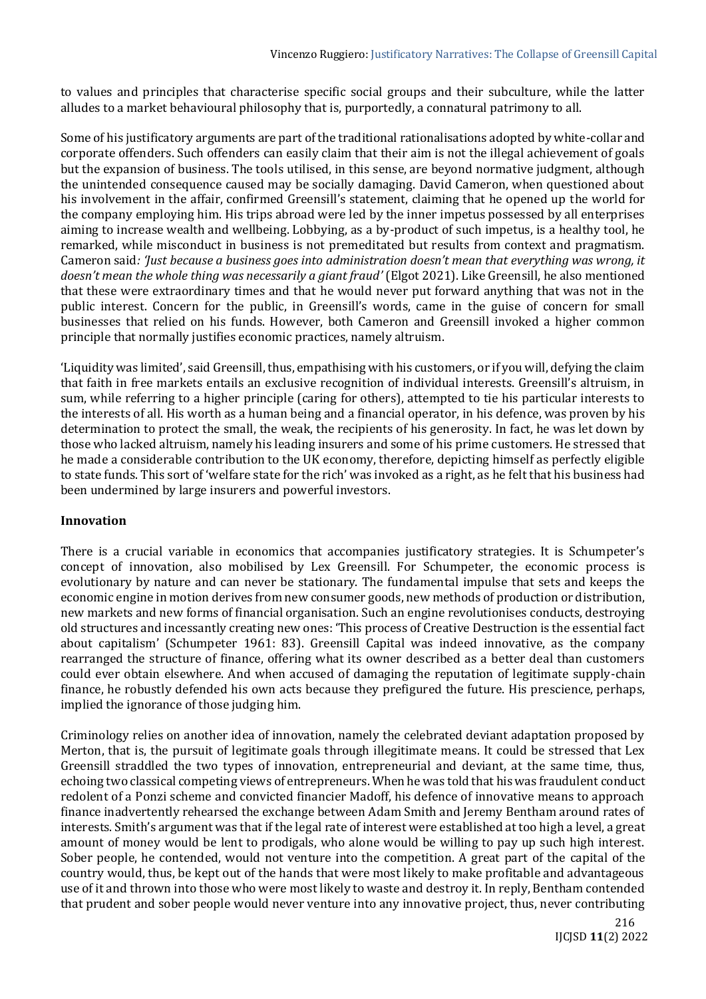to values and principles that characterise specific social groups and their subculture, while the latter alludes to a market behavioural philosophy that is, purportedly, a connatural patrimony to all.

Some of his justificatory arguments are part of the traditional rationalisations adopted by white-collar and corporate offenders. Such offenders can easily claim that their aim is not the illegal achievement of goals but the expansion of business. The tools utilised, in this sense, are beyond normative judgment, although the unintended consequence caused may be socially damaging. David Cameron, when questioned about his involvement in the affair, confirmed Greensill's statement, claiming that he opened up the world for the company employing him. His trips abroad were led by the inner impetus possessed by all enterprises aiming to increase wealth and wellbeing. Lobbying, as a by-product of such impetus, is a healthy tool, he remarked, while misconduct in business is not premeditated but results from context and pragmatism. Cameron said*: 'Just because a business goes into administration doesn't mean that everything was wrong, it doesn't mean the whole thing was necessarily a giant fraud'* (Elgot 2021). Like Greensill, he also mentioned that these were extraordinary times and that he would never put forward anything that was not in the public interest. Concern for the public, in Greensill's words, came in the guise of concern for small businesses that relied on his funds. However, both Cameron and Greensill invoked a higher common principle that normally justifies economic practices, namely altruism.

'Liquidity was limited', said Greensill, thus, empathising with his customers, or if you will, defying the claim that faith in free markets entails an exclusive recognition of individual interests. Greensill's altruism, in sum, while referring to a higher principle (caring for others), attempted to tie his particular interests to the interests of all. His worth as a human being and a financial operator, in his defence, was proven by his determination to protect the small, the weak, the recipients of his generosity. In fact, he was let down by those who lacked altruism, namely his leading insurers and some of his prime customers. He stressed that he made a considerable contribution to the UK economy, therefore, depicting himself as perfectly eligible to state funds. This sort of 'welfare state for the rich' was invoked as a right, as he felt that his business had been undermined by large insurers and powerful investors.

## **Innovation**

There is a crucial variable in economics that accompanies justificatory strategies. It is Schumpeter's concept of innovation, also mobilised by Lex Greensill. For Schumpeter, the economic process is evolutionary by nature and can never be stationary. The fundamental impulse that sets and keeps the economic engine in motion derives from new consumer goods, new methods of production or distribution, new markets and new forms of financial organisation. Such an engine revolutionises conducts, destroying old structures and incessantly creating new ones: 'This process of Creative Destruction is the essential fact about capitalism' (Schumpeter 1961: 83). Greensill Capital was indeed innovative, as the company rearranged the structure of finance, offering what its owner described as a better deal than customers could ever obtain elsewhere. And when accused of damaging the reputation of legitimate supply-chain finance, he robustly defended his own acts because they prefigured the future. His prescience, perhaps, implied the ignorance of those judging him.

Criminology relies on another idea of innovation, namely the celebrated deviant adaptation proposed by Merton, that is, the pursuit of legitimate goals through illegitimate means. It could be stressed that Lex Greensill straddled the two types of innovation, entrepreneurial and deviant, at the same time, thus, echoing two classical competing views of entrepreneurs. When he was told that his was fraudulent conduct redolent of a Ponzi scheme and convicted financier Madoff, his defence of innovative means to approach finance inadvertently rehearsed the exchange between Adam Smith and Jeremy Bentham around rates of interests. Smith's argument was that if the legal rate of interest were established at too high a level, a great amount of money would be lent to prodigals, who alone would be willing to pay up such high interest. Sober people, he contended, would not venture into the competition. A great part of the capital of the country would, thus, be kept out of the hands that were most likely to make profitable and advantageous use of it and thrown into those who were most likely to waste and destroy it. In reply, Bentham contended that prudent and sober people would never venture into any innovative project, thus, never contributing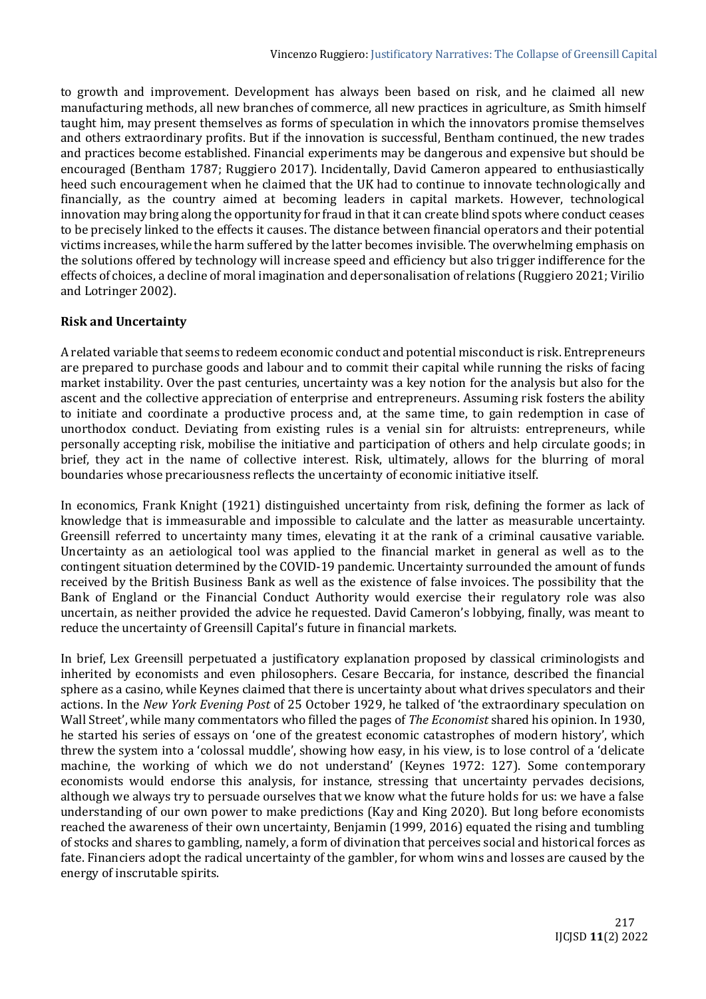to growth and improvement. Development has always been based on risk, and he claimed all new manufacturing methods, all new branches of commerce, all new practices in agriculture, as Smith himself taught him, may present themselves as forms of speculation in which the innovators promise themselves and others extraordinary profits. But if the innovation is successful, Bentham continued, the new trades and practices become established. Financial experiments may be dangerous and expensive but should be encouraged (Bentham 1787; Ruggiero 2017). Incidentally, David Cameron appeared to enthusiastically heed such encouragement when he claimed that the UK had to continue to innovate technologically and financially, as the country aimed at becoming leaders in capital markets. However, technological innovation may bring along the opportunity for fraud in that it can create blind spots where conduct ceases to be precisely linked to the effects it causes. The distance between financial operators and their potential victims increases, while the harm suffered by the latter becomes invisible. The overwhelming emphasis on the solutions offered by technology will increase speed and efficiency but also trigger indifference for the effects of choices, a decline of moral imagination and depersonalisation of relations (Ruggiero 2021; Virilio and Lotringer 2002).

## **Risk and Uncertainty**

A related variable that seems to redeem economic conduct and potential misconduct is risk. Entrepreneurs are prepared to purchase goods and labour and to commit their capital while running the risks of facing market instability. Over the past centuries, uncertainty was a key notion for the analysis but also for the ascent and the collective appreciation of enterprise and entrepreneurs. Assuming risk fosters the ability to initiate and coordinate a productive process and, at the same time, to gain redemption in case of unorthodox conduct. Deviating from existing rules is a venial sin for altruists: entrepreneurs, while personally accepting risk, mobilise the initiative and participation of others and help circulate goods; in brief, they act in the name of collective interest. Risk, ultimately, allows for the blurring of moral boundaries whose precariousness reflects the uncertainty of economic initiative itself.

In economics, Frank Knight (1921) distinguished uncertainty from risk, defining the former as lack of knowledge that is immeasurable and impossible to calculate and the latter as measurable uncertainty. Greensill referred to uncertainty many times, elevating it at the rank of a criminal causative variable. Uncertainty as an aetiological tool was applied to the financial market in general as well as to the contingent situation determined by the COVID-19 pandemic. Uncertainty surrounded the amount of funds received by the British Business Bank as well as the existence of false invoices. The possibility that the Bank of England or the Financial Conduct Authority would exercise their regulatory role was also uncertain, as neither provided the advice he requested. David Cameron's lobbying, finally, was meant to reduce the uncertainty of Greensill Capital's future in financial markets.

In brief, Lex Greensill perpetuated a justificatory explanation proposed by classical criminologists and inherited by economists and even philosophers. Cesare Beccaria, for instance, described the financial sphere as a casino, while Keynes claimed that there is uncertainty about what drives speculators and their actions. In the *New York Evening Post* of 25 October 1929, he talked of 'the extraordinary speculation on Wall Street', while many commentators who filled the pages of *The Economist* shared his opinion. In 1930, he started his series of essays on 'one of the greatest economic catastrophes of modern history', which threw the system into a 'colossal muddle', showing how easy, in his view, is to lose control of a 'delicate machine, the working of which we do not understand' (Keynes 1972: 127). Some contemporary economists would endorse this analysis, for instance, stressing that uncertainty pervades decisions, although we always try to persuade ourselves that we know what the future holds for us: we have a false understanding of our own power to make predictions (Kay and King 2020). But long before economists reached the awareness of their own uncertainty, Benjamin (1999, 2016) equated the rising and tumbling of stocks and shares to gambling, namely, a form of divination that perceives social and historical forces as fate. Financiers adopt the radical uncertainty of the gambler, for whom wins and losses are caused by the energy of inscrutable spirits.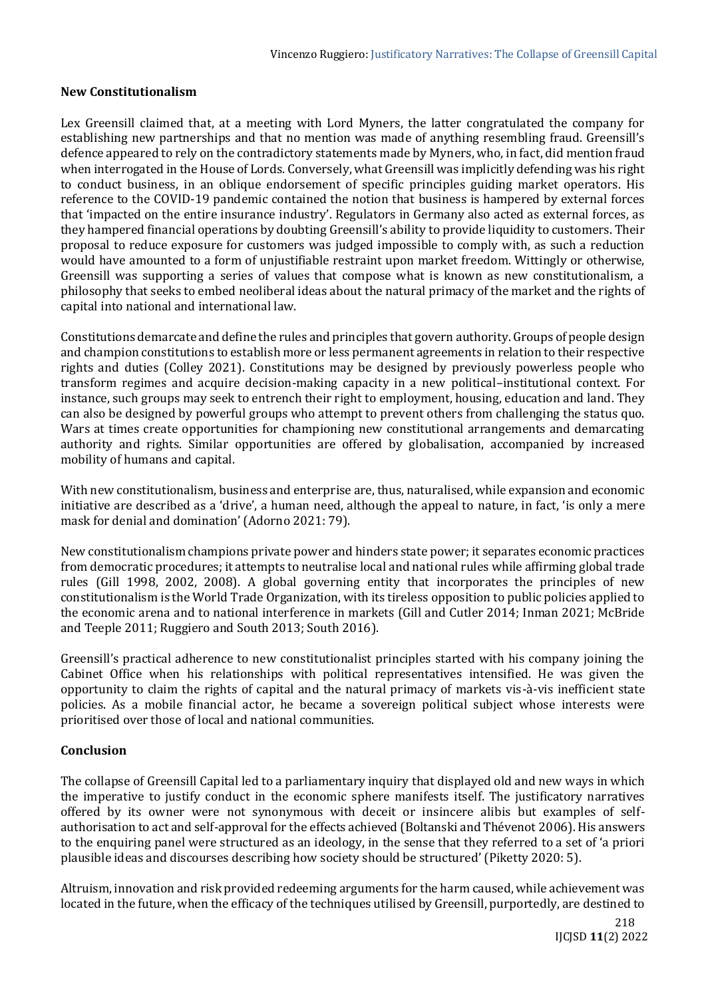## **New Constitutionalism**

Lex Greensill claimed that, at a meeting with Lord Myners, the latter congratulated the company for establishing new partnerships and that no mention was made of anything resembling fraud. Greensill's defence appeared to rely on the contradictory statements made by Myners, who, in fact, did mention fraud when interrogated in the House of Lords. Conversely, what Greensill was implicitly defending was his right to conduct business, in an oblique endorsement of specific principles guiding market operators. His reference to the COVID-19 pandemic contained the notion that business is hampered by external forces that 'impacted on the entire insurance industry'. Regulators in Germany also acted as external forces, as they hampered financial operations by doubting Greensill's ability to provide liquidity to customers. Their proposal to reduce exposure for customers was judged impossible to comply with, as such a reduction would have amounted to a form of unjustifiable restraint upon market freedom. Wittingly or otherwise, Greensill was supporting a series of values that compose what is known as new constitutionalism, a philosophy that seeks to embed neoliberal ideas about the natural primacy of the market and the rights of capital into national and international law.

Constitutions demarcate and define the rules and principles that govern authority. Groups of people design and champion constitutions to establish more or less permanent agreements in relation to their respective rights and duties (Colley 2021). Constitutions may be designed by previously powerless people who transform regimes and acquire decision-making capacity in a new political–institutional context. For instance, such groups may seek to entrench their right to employment, housing, education and land. They can also be designed by powerful groups who attempt to prevent others from challenging the status quo. Wars at times create opportunities for championing new constitutional arrangements and demarcating authority and rights. Similar opportunities are offered by globalisation, accompanied by increased mobility of humans and capital.

With new constitutionalism, business and enterprise are, thus, naturalised, while expansion and economic initiative are described as a 'drive', a human need, although the appeal to nature, in fact, 'is only a mere mask for denial and domination' (Adorno 2021: 79).

New constitutionalism champions private power and hinders state power; it separates economic practices from democratic procedures; it attempts to neutralise local and national rules while affirming global trade rules (Gill 1998, 2002, 2008). A global governing entity that incorporates the principles of new constitutionalism is the World Trade Organization, with its tireless opposition to public policies applied to the economic arena and to national interference in markets (Gill and Cutler 2014; Inman 2021; McBride and Teeple 2011; Ruggiero and South 2013; South 2016).

Greensill's practical adherence to new constitutionalist principles started with his company joining the Cabinet Office when his relationships with political representatives intensified. He was given the opportunity to claim the rights of capital and the natural primacy of markets vis-à-vis inefficient state policies. As a mobile financial actor, he became a sovereign political subject whose interests were prioritised over those of local and national communities.

## **Conclusion**

The collapse of Greensill Capital led to a parliamentary inquiry that displayed old and new ways in which the imperative to justify conduct in the economic sphere manifests itself. The justificatory narratives offered by its owner were not synonymous with deceit or insincere alibis but examples of selfauthorisation to act and self-approval for the effects achieved (Boltanski and Thévenot 2006). His answers to the enquiring panel were structured as an ideology, in the sense that they referred to a set of 'a priori plausible ideas and discourses describing how society should be structured' (Piketty 2020: 5).

Altruism, innovation and risk provided redeeming arguments for the harm caused, while achievement was located in the future, when the efficacy of the techniques utilised by Greensill, purportedly, are destined to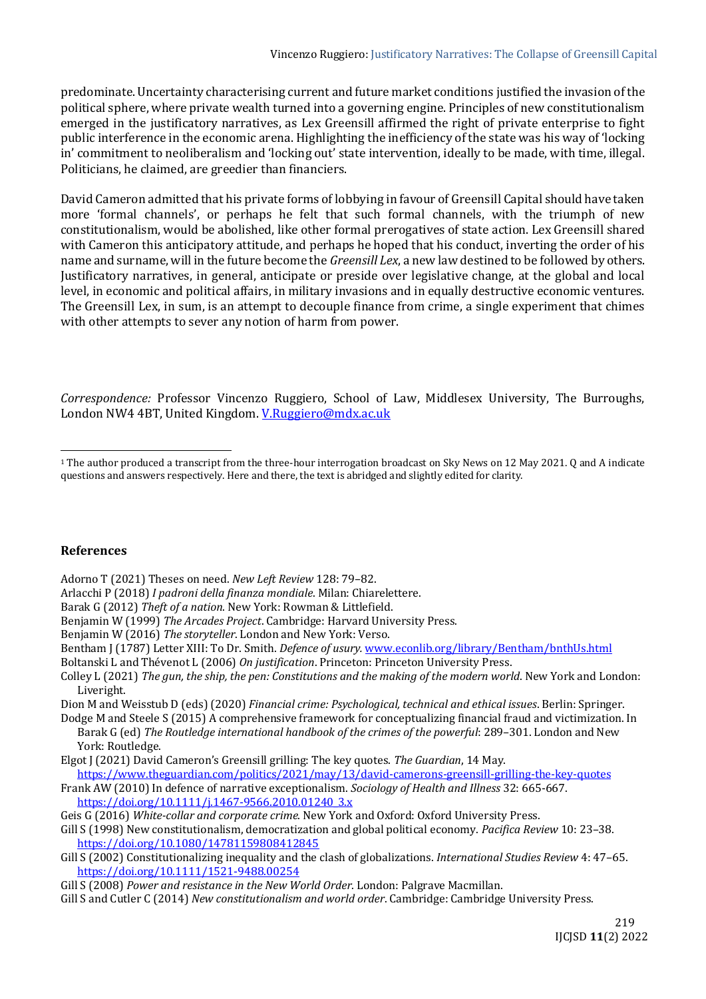predominate. Uncertainty characterising current and future market conditions justified the invasion of the political sphere, where private wealth turned into a governing engine. Principles of new constitutionalism emerged in the justificatory narratives, as Lex Greensill affirmed the right of private enterprise to fight public interference in the economic arena. Highlighting the inefficiency of the state was his way of 'locking in' commitment to neoliberalism and 'locking out' state intervention, ideally to be made, with time, illegal. Politicians, he claimed, are greedier than financiers.

David Cameron admitted that his private forms of lobbying in favour of Greensill Capital should have taken more 'formal channels', or perhaps he felt that such formal channels, with the triumph of new constitutionalism, would be abolished, like other formal prerogatives of state action. Lex Greensill shared with Cameron this anticipatory attitude, and perhaps he hoped that his conduct, inverting the order of his name and surname, will in the future become the *Greensill Lex*, a new law destined to be followed by others. Justificatory narratives, in general, anticipate or preside over legislative change, at the global and local level, in economic and political affairs, in military invasions and in equally destructive economic ventures. The Greensill Lex, in sum, is an attempt to decouple finance from crime, a single experiment that chimes with other attempts to sever any notion of harm from power.

*Correspondence:* Professor Vincenzo Ruggiero, School of Law, Middlesex University, The Burroughs, London NW4 4BT, United Kingdom. [V.Ruggiero@mdx.ac.uk](mailto:V.Ruggiero@mdx.ac.uk)

## **References**

Adorno T (2021) Theses on need. *New Left Review* 128: 79–82.

- Arlacchi P (2018) *I padroni della finanza mondiale*. Milan: Chiarelettere.
- Barak G (2012) *Theft of a nation*. New York: Rowman & Littlefield.
- Benjamin W (1999) *The Arcades Project*. Cambridge: Harvard University Press.
- Benjamin W (2016) *The storyteller*. London and New York: Verso.
- Bentham J (1787) Letter XIII: To Dr. Smith. *Defence of usury.* [www.econlib.org/library/Bentham/bnthUs.html](http://www.econlib.org/library/Bentham/bnthUs.html)
- Boltanski L and Thévenot L (2006) *On justification*. Princeton: Princeton University Press.
- Colley L (2021) *The gun, the ship, the pen: Constitutions and the making of the modern world*. New York and London: Liveright.
- Dion M and Weisstub D (eds) (2020) *Financial crime: Psychological, technical and ethical issues*. Berlin: Springer. Dodge M and Steele S (2015) A comprehensive framework for conceptualizing financial fraud and victimization. In
- Barak G (ed) *The Routledge international handbook of the crimes of the powerful*: 289–301. London and New York: Routledge.
- Elgot J (2021) David Cameron's Greensill grilling: The key quotes. *The Guardian*, 14 May.
- <https://www.theguardian.com/politics/2021/may/13/david-camerons-greensill-grilling-the-key-quotes> Frank AW (2010) In defence of narrative exceptionalism. *Sociology of Health and Illness* 32: 665-667. [https://doi.org/10.1111/j.1467-9566.2010.01240\\_3.x](https://doi.org/10.1111/j.1467-9566.2010.01240_3.x)
- Geis G (2016) *White-collar and corporate crime*. New York and Oxford: Oxford University Press.
- Gill S (1998) New constitutionalism, democratization and global political economy. *Pacifica Review* 10: 23–38. <https://doi.org/10.1080/14781159808412845>
- Gill S (2002) Constitutionalizing inequality and the clash of globalizations. *International Studies Review* 4: 47–65. <https://doi.org/10.1111/1521-9488.00254>
- Gill S (2008) *Power and resistance in the New World Order*. London: Palgrave Macmillan.
- Gill S and Cutler C (2014) *New constitutionalism and world order*. Cambridge: Cambridge University Press.

<sup>1</sup> The author produced a transcript from the three-hour interrogation broadcast on Sky News on 12 May 2021. Q and A indicate questions and answers respectively. Here and there, the text is abridged and slightly edited for clarity.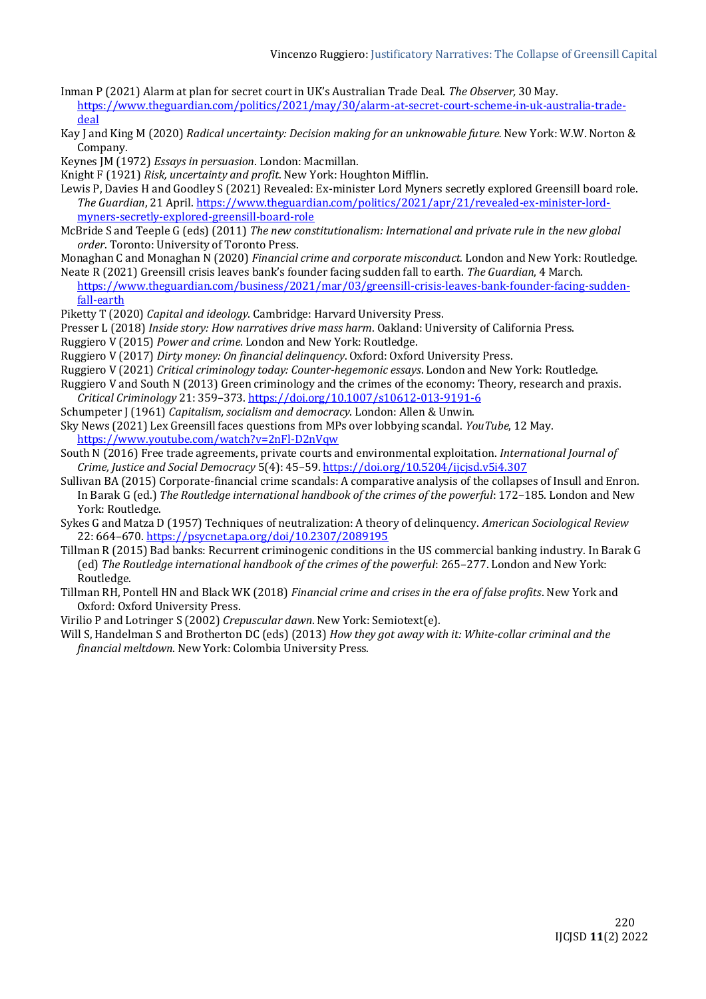- Inman P (2021) Alarm at plan for secret court in UK's Australian Trade Deal. *The Observer,* 30 May. [https://www.theguardian.com/politics/2021/may/30/alarm-at-secret-court-scheme-in-uk-australia-trade](https://www.theguardian.com/politics/2021/may/30/alarm-at-secret-court-scheme-in-uk-australia-trade-deal)[deal](https://www.theguardian.com/politics/2021/may/30/alarm-at-secret-court-scheme-in-uk-australia-trade-deal)
- Kay J and King M (2020) *Radical uncertainty: Decision making for an unknowable future.* New York: W.W. Norton & Company.
- Keynes JM (1972) *Essays in persuasion*. London: Macmillan.
- Knight F (1921) *Risk, uncertainty and profit*. New York: Houghton Mifflin.
- Lewis P, Davies H and Goodley S (2021) Revealed: Ex-minister Lord Myners secretly explored Greensill board role. *The Guardian*, 21 April[. https://www.theguardian.com/politics/2021/apr/21/revealed-ex-minister-lord](https://www.theguardian.com/politics/2021/apr/21/revealed-ex-minister-lord-myners-secretly-explored-greensill-board-role)[myners-secretly-explored-greensill-board-role](https://www.theguardian.com/politics/2021/apr/21/revealed-ex-minister-lord-myners-secretly-explored-greensill-board-role)
- McBride S and Teeple G (eds) (2011) *The new constitutionalism: International and private rule in the new global order*. Toronto: University of Toronto Press.
- Monaghan C and Monaghan N (2020) *Financial crime and corporate misconduct.* London and New York: Routledge.
- Neate R (2021) Greensill crisis leaves bank's founder facing sudden fall to earth. *The Guardian*, 4 March.
- [https://www.theguardian.com/business/2021/mar/03/greensill-crisis-leaves-bank-founder-facing-sudden](https://www.theguardian.com/business/2021/mar/03/greensill-crisis-leaves-bank-founder-facing-sudden-fall-earth)[fall-earth](https://www.theguardian.com/business/2021/mar/03/greensill-crisis-leaves-bank-founder-facing-sudden-fall-earth)
- Piketty T (2020) *Capital and ideology*. Cambridge: Harvard University Press.
- Presser L (2018) *Inside story: How narratives drive mass harm*. Oakland: University of California Press.
- Ruggiero V (2015) *Power and crime*. London and New York: Routledge.
- Ruggiero V (2017) *Dirty money: On financial delinquency*. Oxford: Oxford University Press.
- Ruggiero V (2021) *Critical criminology today: Counter-hegemonic essays*. London and New York: Routledge.
- Ruggiero V and South N (2013) Green criminology and the crimes of the economy: Theory, research and praxis. *Critical Criminology* 21: 359–373. <https://doi.org/10.1007/s10612-013-9191-6>
- Schumpeter J (1961) *Capitalism, socialism and democracy*. London: Allen & Unwin.
- Sky News (2021) Lex Greensill faces questions from MPs over lobbying scandal. *YouTube*, 12 May. <https://www.youtube.com/watch?v=2nFl-D2nVqw>
- South N (2016) Free trade agreements, private courts and environmental exploitation. *International Journal of Crime, Justice and Social Democracy* 5(4): 45–59. <https://doi.org/10.5204/ijcjsd.v5i4.307>
- Sullivan BA (2015) Corporate-financial crime scandals: A comparative analysis of the collapses of Insull and Enron. In Barak G (ed.) *The Routledge international handbook of the crimes of the powerful*: 172–185. London and New York: Routledge.
- Sykes G and Matza D (1957) Techniques of neutralization: A theory of delinquency. *American Sociological Review* 22: 664–670. <https://psycnet.apa.org/doi/10.2307/2089195>
- Tillman R (2015) Bad banks: Recurrent criminogenic conditions in the US commercial banking industry. In Barak G (ed) *The Routledge international handbook of the crimes of the powerful*: 265–277. London and New York: Routledge.
- Tillman RH, Pontell HN and Black WK (2018) *Financial crime and crises in the era of false profits*. New York and Oxford: Oxford University Press.
- Virilio P and Lotringer S (2002) *Crepuscular dawn*. New York: Semiotext(e).
- Will S, Handelman S and Brotherton DC (eds) (2013) *How they got away with it: White-collar criminal and the financial meltdown*. New York: Colombia University Press.